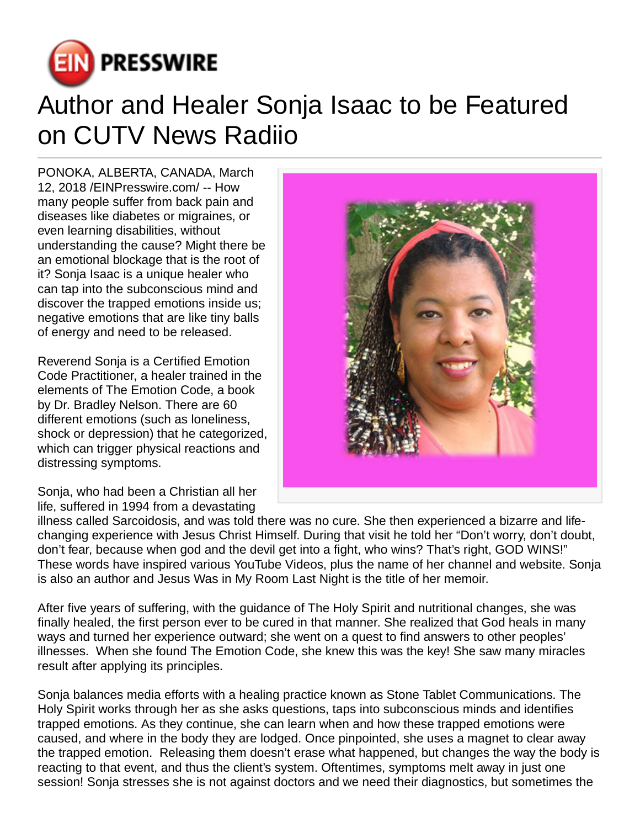

## Author and Healer Sonja Isaac to be Featured on CUTV News Radiio

PONOKA, ALBERTA, CANADA, March 12, 2018 [/EINPresswire.com/](http://www.einpresswire.com) -- How many people suffer from back pain and diseases like diabetes or migraines, or even learning disabilities, without understanding the cause? Might there be an emotional blockage that is the root of it? Sonja Isaac is a unique healer who can tap into the subconscious mind and discover the trapped emotions inside us; negative emotions that are like tiny balls of energy and need to be released.

Reverend Sonja is a Certified Emotion Code Practitioner, a healer trained in the elements of The Emotion Code, a book by Dr. Bradley Nelson. There are 60 different emotions (such as loneliness, shock or depression) that he categorized, which can trigger physical reactions and distressing symptoms.



Sonja, who had been a Christian all her life, suffered in 1994 from a devastating

illness called Sarcoidosis, and was told there was no cure. She then experienced a bizarre and lifechanging experience with Jesus Christ Himself. During that visit he told her "Don't worry, don't doubt, don't fear, because when god and the devil get into a fight, who wins? That's right, GOD WINS!" These words have inspired various YouTube Videos, plus the name of her channel and website. Sonja is also an author and Jesus Was in My Room Last Night is the title of her memoir.

After five years of suffering, with the guidance of The Holy Spirit and nutritional changes, she was finally healed, the first person ever to be cured in that manner. She realized that God heals in many ways and turned her experience outward; she went on a quest to find answers to other peoples' illnesses. When she found The Emotion Code, she knew this was the key! She saw many miracles result after applying its principles.

Sonja balances media efforts with a healing practice known as Stone Tablet Communications. The Holy Spirit works through her as she asks questions, taps into subconscious minds and identifies trapped emotions. As they continue, she can learn when and how these trapped emotions were caused, and where in the body they are lodged. Once pinpointed, she uses a magnet to clear away the trapped emotion. Releasing them doesn't erase what happened, but changes the way the body is reacting to that event, and thus the client's system. Oftentimes, symptoms melt away in just one session! Sonja stresses she is not against doctors and we need their diagnostics, but sometimes the